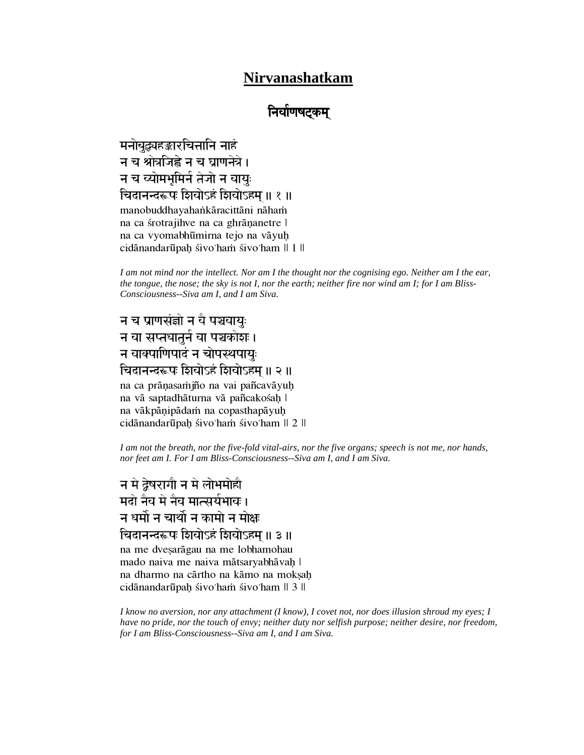### **Nirvanashatkam**

## निर्वाणषटकम्

मनोबुद्ध्यहङ्कारचित्तानि नाहं न च श्रोत्रजिह्वे न च घ्राणनेत्रे। न च व्योमभूमिर्न तेजो न वायुः चिदानन्दरूपः शिवोऽहं शिवोऽहम ॥ १ ॥ manobuddhayahankāracittāni nāham na ca śrotrajihve na ca ghrāņanetre | na ca vyomabhūmirna tejo na vāyuḥ cidānandarūpah sivo'ham sivo'ham  $\parallel$  1  $\parallel$ 

*I am not mind nor the intellect. Nor am I the thought nor the cognising ego. Neither am I the ear, the tongue, the nose; the sky is not I, nor the earth; neither fire nor wind am I; for I am Bliss-Consciousness--Siva am I, and I am Siva.* 

# न च प्राणसंज्ञो न वै पञ्चवायुः न वा सप्तधातुर्न वा पञ्चकोश**।** न वाक्पाणिपादं न चोपस्थपायुः चिदानन्दरूपः शिवोऽहं शिवोऽहम् ॥ २ ॥

na ca prāņasamjño na vai pañcavāyuḥ na vā saptadhāturna vā pañcakośah | na vākpāņipādam na copasthapāyuḥ cidānandarūpah sivo'ham sivo'ham  $\parallel$  2  $\parallel$ 

*I am not the breath, nor the five-fold vital-airs, nor the five organs; speech is not me, nor hands, nor feet am I. For I am Bliss-Consciousness--Siva am I, and I am Siva.* 

न मे द्वेषरागौ न मे लोभमोहौ ਸਗੇ ਜੈਕ **मे ਜੈਕ मा**त्सर्यभावः । न धर्मो न चार्थो न कामो न मोक्ष चिदानन्दरूपः शिवोऽहं शिवोऽहम् ॥ ३ ॥ na me dvesarāgau na me lobhamohau mado naiva me naiva mātsaryabhāvah | na dharmo na cārtho na kāmo na moksah cidānandarūpaḥ śivo'ham śivo'ham  $\parallel$  3  $\parallel$ 

*I know no aversion, nor any attachment (I know), I covet not, nor does illusion shroud my eyes; I have no pride, nor the touch of envy; neither duty nor selfish purpose; neither desire, nor freedom, for I am Bliss-Consciousness--Siva am I, and I am Siva.*